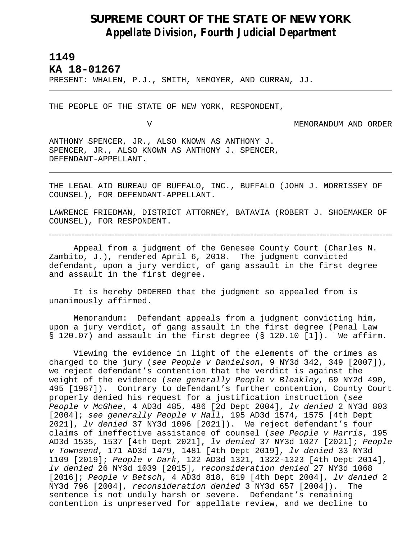## **SUPREME COURT OF THE STATE OF NEW YORK** *Appellate Division, Fourth Judicial Department*

## **1149**

L

**KA 18-01267** 

PRESENT: WHALEN, P.J., SMITH, NEMOYER, AND CURRAN, JJ.

THE PEOPLE OF THE STATE OF NEW YORK, RESPONDENT,

V MEMORANDUM AND ORDER

ANTHONY SPENCER, JR., ALSO KNOWN AS ANTHONY J. SPENCER, JR., ALSO KNOWN AS ANTHONY J. SPENCER, DEFENDANT-APPELLANT.

THE LEGAL AID BUREAU OF BUFFALO, INC., BUFFALO (JOHN J. MORRISSEY OF COUNSEL), FOR DEFENDANT-APPELLANT.

LAWRENCE FRIEDMAN, DISTRICT ATTORNEY, BATAVIA (ROBERT J. SHOEMAKER OF COUNSEL), FOR RESPONDENT.

Appeal from a judgment of the Genesee County Court (Charles N. Zambito, J.), rendered April 6, 2018. The judgment convicted defendant, upon a jury verdict, of gang assault in the first degree and assault in the first degree.

It is hereby ORDERED that the judgment so appealed from is unanimously affirmed.

Memorandum: Defendant appeals from a judgment convicting him, upon a jury verdict, of gang assault in the first degree (Penal Law § 120.07) and assault in the first degree (§ 120.10 [1]). We affirm.

Viewing the evidence in light of the elements of the crimes as charged to the jury (*see People v Danielson*, 9 NY3d 342, 349 [2007]), we reject defendant's contention that the verdict is against the weight of the evidence (*see generally People v Bleakley*, 69 NY2d 490, 495 [1987]). Contrary to defendant's further contention, County Court properly denied his request for a justification instruction (*see People v McGhee*, 4 AD3d 485, 486 [2d Dept 2004], *lv denied* 2 NY3d 803 [2004]; *see generally People v Hall*, 195 AD3d 1574, 1575 [4th Dept 2021], *lv denied* 37 NY3d 1096 [2021]). We reject defendant's four claims of ineffective assistance of counsel (*see People v Harris*, 195 AD3d 1535, 1537 [4th Dept 2021], *lv denied* 37 NY3d 1027 [2021]; *People v Townsend*, 171 AD3d 1479, 1481 [4th Dept 2019], *lv denied* 33 NY3d 1109 [2019]; *People v Dark*, 122 AD3d 1321, 1322-1323 [4th Dept 2014], *lv denied* 26 NY3d 1039 [2015], *reconsideration denied* 27 NY3d 1068 [2016]; *People v Betsch*, 4 AD3d 818, 819 [4th Dept 2004], *lv denied* 2 NY3d 796 [2004], *reconsideration denied* 3 NY3d 657 [2004]). The sentence is not unduly harsh or severe. Defendant's remaining contention is unpreserved for appellate review, and we decline to